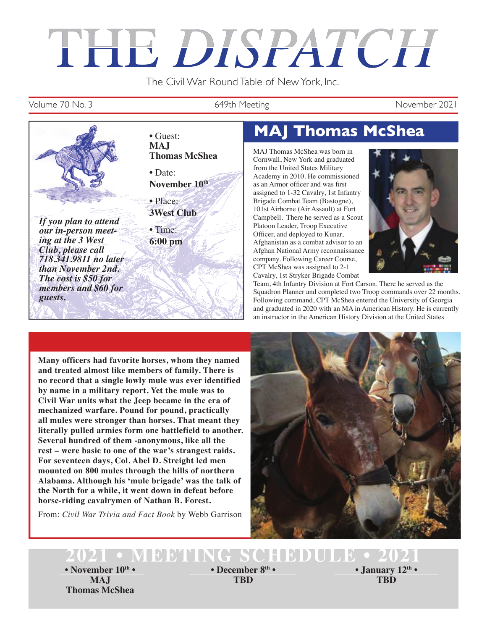# THE DISPATCH

The Civil War Round Table of New York, Inc.

#### Volume 70 No. 3 649th Meeting November 2021



# • Guest: **MAJ Thomas McShea**

MAJ Thomas McShea was born in Cornwall, New York and graduated from the United States Military Academy in 2010. He commissioned as an Armor officer and was first assigned to 1-32 Cavalry, 1st Infantry Brigade Combat Team (Bastogne), 101st Airborne (Air Assault) at Fort Campbell. There he served as a Scout Platoon Leader, Troop Executive Officer, and deployed to Kunar, Afghanistan as a combat advisor to an Afghan National Army reconnaissance company. Following Career Course, CPT McShea was assigned to 2-1 Cavalry, 1st Stryker Brigade Combat



Team, 4th Infantry Division at Fort Carson. There he served as the Squadron Planner and completed two Troop commands over 22 months. Following command, CPT McShea entered the University of Georgia and graduated in 2020 with an MA in American History. He is currently an instructor in the American History Division at the United States

**Many officers had favorite horses, whom they named and treated almost like members of family. There is no record that a single lowly mule was ever identified by name in a military report. Yet the mule was to Civil War units what the Jeep became in the era of mechanized warfare. Pound for pound, practically all mules were stronger than horses. That meant they literally pulled armies form one battlefield to another. Several hundred of them -anonymous, like all the rest – were basic to one of the war's strangest raids. For seventeen days, Col. Abel D. Streight led men mounted on 800 mules through the hills of northern Alabama. Although his 'mule brigade' was the talk of the North for a while, it went down in defeat before horse-riding cavalrymen of Nathan B. Forest.**

From: *Civil War Trivia and Fact Book* by Webb Garrison



# **2021 • MEETING SCHEDULE • 2021**

**• November 10th • • December 8th • • January 12th • MAJ Thomas McShea**

**TBD**

**TBD**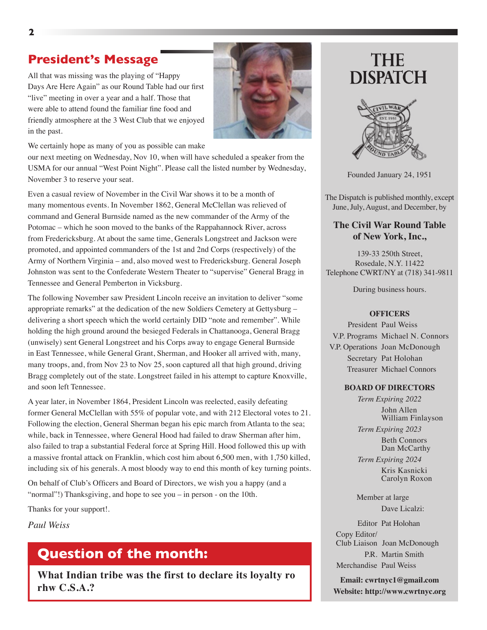#### **President's Message**

All that was missing was the playing of "Happy Days Are Here Again" as our Round Table had our first "live" meeting in over a year and a half. Those that were able to attend found the familiar fine food and friendly atmosphere at the 3 West Club that we enjoyed in the past.



We certainly hope as many of you as possible can make

our next meeting on Wednesday, Nov 10, when will have scheduled a speaker from the USMA for our annual "West Point Night". Please call the listed number by Wednesday, November 3 to reserve your seat.

Even a casual review of November in the Civil War shows it to be a month of many momentous events. In November 1862, General McClellan was relieved of command and General Burnside named as the new commander of the Army of the Potomac – which he soon moved to the banks of the Rappahannock River, across from Fredericksburg. At about the same time, Generals Longstreet and Jackson were promoted, and appointed commanders of the 1st and 2nd Corps (respectively) of the Army of Northern Virginia – and, also moved west to Fredericksburg. General Joseph Johnston was sent to the Confederate Western Theater to "supervise" General Bragg in Tennessee and General Pemberton in Vicksburg.

The following November saw President Lincoln receive an invitation to deliver "some appropriate remarks" at the dedication of the new Soldiers Cemetery at Gettysburg – delivering a short speech which the world certainly DID "note and remember". While holding the high ground around the besieged Federals in Chattanooga, General Bragg (unwisely) sent General Longstreet and his Corps away to engage General Burnside in East Tennessee, while General Grant, Sherman, and Hooker all arrived with, many, many troops, and, from Nov 23 to Nov 25, soon captured all that high ground, driving Bragg completely out of the state. Longstreet failed in his attempt to capture Knoxville, and soon left Tennessee.

A year later, in November 1864, President Lincoln was reelected, easily defeating former General McClellan with 55% of popular vote, and with 212 Electoral votes to 21. Following the election, General Sherman began his epic march from Atlanta to the sea; while, back in Tennessee, where General Hood had failed to draw Sherman after him, also failed to trap a substantial Federal force at Spring Hill. Hood followed this up with a massive frontal attack on Franklin, which cost him about 6,500 men, with 1,750 killed, including six of his generals. A most bloody way to end this month of key turning points.

On behalf of Club's Officers and Board of Directors, we wish you a happy (and a "normal"!) Thanksgiving, and hope to see you – in person - on the 10th.

Thanks for your support!.

*Paul Weiss* 

#### **Question of the month:**

**What Indian tribe was the first to declare its loyalty ro rhw C.S.A.?**

# **THE DISPATCH**



Founded January 24, 1951

The Dispatch is published monthly, except June, July, August, and December, by

#### **The Civil War Round Table of New York, Inc.,**

139-33 250th Street, Rosedale, N.Y. 11422 Telephone CWRT/NY at (718) 341-9811

During business hours.

#### **OFFICERS**

 President Paul Weiss V.P. Programs Michael N. Connors V.P. Operations Joan McDonough Secretary Pat Holohan Treasurer Michael Connors

#### **BOARD OF DIRECTORS**

*Term Expiring 2022* John Allen William Finlayson

*Term Expiring 2023* Beth Connors

Dan McCarthy *Term Expiring 2024*

> Kris Kasnicki Carolyn Roxon

 Member at large Dave Licalzi:

 Editor Pat Holohan Copy Editor/ Club Liaison Joan McDonough P.R. Martin Smith Merchandise Paul Weiss

**Email: cwrtnyc1@gmail.com Website: http://www.cwrtnyc.org**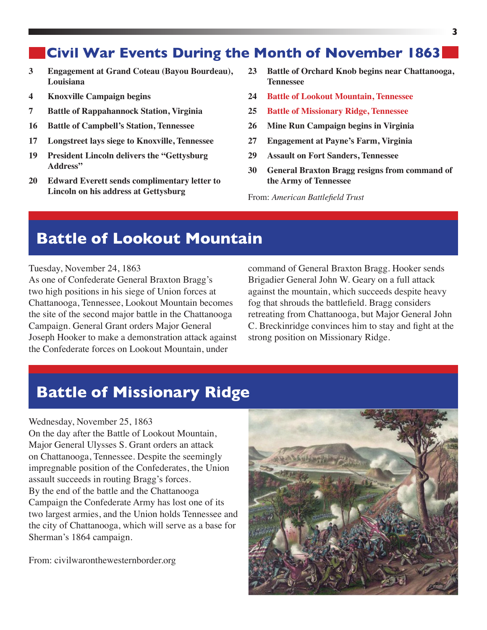### **Civil War Events During the Month of November 1863**

- **3 Engagement at Grand Coteau (Bayou Bourdeau), Louisiana**
- **4 Knoxville Campaign begins**
- **7 Battle of Rappahannock Station, Virginia**
- **16 Battle of Campbell's Station, Tennessee**
- **17 Longstreet lays siege to Knoxville, Tennessee**
- **19 President Lincoln delivers the "Gettysburg Address"**
- **20 Edward Everett sends complimentary letter to Lincoln on his address at Gettysburg**
- **23 Battle of Orchard Knob begins near Chattanooga, Tennessee**
- **24 Battle of Lookout Mountain, Tennessee**
- **25 Battle of Missionary Ridge, Tennessee**
- **26 Mine Run Campaign begins in Virginia**
- **27 Engagement at Payne's Farm, Virginia**
- **29 Assault on Fort Sanders, Tennessee**
- **30 General Braxton Bragg resigns from command of the Army of Tennessee**

From: *American Battlefield Trust*

## **Battle of Lookout Mountain**

Tuesday, November 24, 1863

As one of Confederate General Braxton Bragg's two high positions in his siege of Union forces at Chattanooga, Tennessee, Lookout Mountain becomes the site of the second major battle in the Chattanooga Campaign. General Grant orders Major General Joseph Hooker to make a demonstration attack against the Confederate forces on Lookout Mountain, under

command of General Braxton Bragg. Hooker sends Brigadier General John W. Geary on a full attack against the mountain, which succeeds despite heavy fog that shrouds the battlefield. Bragg considers retreating from Chattanooga, but Major General John C. Breckinridge convinces him to stay and fight at the strong position on Missionary Ridge.

## **Battle of Missionary Ridge**

#### Wednesday, November 25, 1863

On the day after the Battle of Lookout Mountain, Major General Ulysses S. Grant orders an attack on Chattanooga, Tennessee. Despite the seemingly impregnable position of the Confederates, the Union assault succeeds in routing Bragg's forces. By the end of the battle and the Chattanooga Campaign the Confederate Army has lost one of its two largest armies, and the Union holds Tennessee and the city of Chattanooga, which will serve as a base for Sherman's 1864 campaign.

From: civilwaronthewesternborder.org